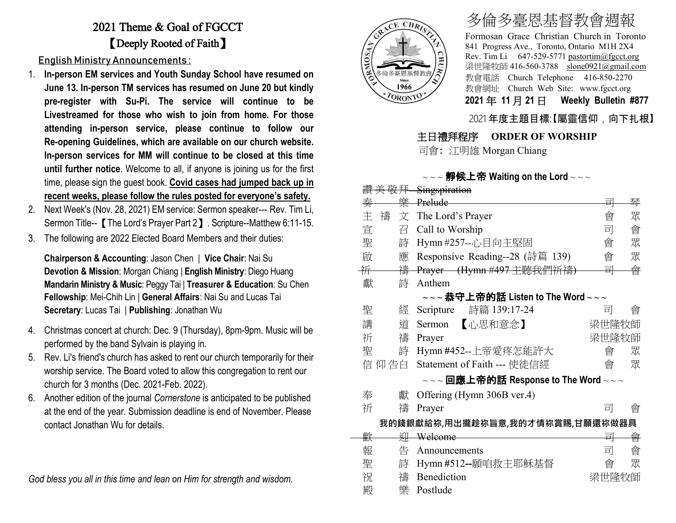## 2021 Theme & Goal of FGCCT 【Deeply Rooted of Faith】

English Ministry Announcements :

- 1. **In-person EM services and Youth Sunday School have resumed on June 13. In-person TM services has resumed on June 20 but kindly pre-register with Su-Pi. The service will continue to be Livestreamed for those who wish to join from home. For those attending in-person service, please continue to follow our Re-opening Guidelines, which are available on our church website. In-person services for MM will continue to be closed at this time until further notice**. Welcome to all, if anyone is joining us for the first time, please sign the guest book. **Covid cases had jumped back up in recent weeks, please follow the rules posted for everyone's safety.**
- 2. Next Week's (Nov. 28, 2021) EM service: Sermon speaker--- Rev. Tim Li, Sermon Title--【The Lord's Prayer Part 2】. Scripture--Matthew 6:11-15.
- 3. The following are 2022 Elected Board Members and their duties:

**Chairperson & Accounting**: Jason Chen | **Vice Chair**: Nai Su **Devotion & Mission**: Morgan Chiang | **English Ministry**: Diego Huang **Mandarin Ministry & Music**: Peggy Tai | **Treasurer & Education**: Su Chen **Fellowship**: Mei-Chih Lin | **General Affairs**: Nai Su and Lucas Tai **Secretary**: Lucas Tai | **Publishing**: Jonathan Wu

- 4. Christmas concert at church: Dec. 9 (Thursday), 8pm-9pm. Music will be performed by the band Sylvain is playing in.
- 5. Rev. Li's friend's church has asked to rent our church temporarily for their worship service. The Board voted to allow this congregation to rent our church for 3 months (Dec. 2021-Feb. 2022).
- 6. Another edition of the journal *Cornerstone* is anticipated to be published at the end of the year. Submission deadline is end of November. Please contact Jonathan Wu for details.

*God bless you all in this time and lean on Him for strength and wisdom.*



# 多倫多臺恩基督教會週報

Formosan Grace Christian Church in Toronto 841 Progress Ave., Toronto, Ontario M1H 2X4 Rev. Tim Li 647-529-5771 [pastortim@fgcct.org](mailto:pastortim@fgcct.org) 梁世隆牧師 416-560-3788 slone0921@gmail.com 教會電話 Church Telephone 416-850-2270 教會網址 Church Web Site: www.fgcct.org **2021** 年 **11** 月 **21** 日 **Weekly Bulletin #877** 

2021 年度主題目標:【屬靈信仰,向下扎根】

#### 主日禮拜程序 **ORDER OF WORSHIP**

司會: 江明雄 Morgan Chiang

#### $\sim$   $\sim$  希候上帝 Waiting on the Lord  $\sim$   $\sim$   $\sim$

|   | 敬拜     | Singspiration                                                                                                 |       |   |
|---|--------|---------------------------------------------------------------------------------------------------------------|-------|---|
| 奏 | 樂      | Prelude                                                                                                       | 킈     | 琴 |
| 主 | 禱<br>文 | The Lord's Prayer                                                                                             | 會     | 眾 |
| 宣 | 召      | Call to Worship                                                                                               | 司     | 會 |
| 聖 | 詩      | Hymn #257--心目向主堅固                                                                                             | 會     | 眾 |
| 啟 | 應      | Responsive Reading--28 (詩篇 139)                                                                               | 會     | 眾 |
| 祈 | 禱      | Prayer (Hymn #497 主聽我們祈禱)                                                                                     | 릐     | 會 |
| 獻 | 詩      | Anthem                                                                                                        |       |   |
|   |        | $\sim$ ~恭守上帝的話 Listen to The Word~~~                                                                          |       |   |
| 聖 | 經      | 詩篇 139:17-24<br>Scripture                                                                                     | 司     | 曾 |
| 講 | 道      | 【心思和意念】<br>Sermon                                                                                             | 梁世隆牧師 |   |
| 祈 | 禱      | Prayer                                                                                                        | 梁世隆牧師 |   |
| 聖 | 詩      | Hymn #452--上帝愛疼怎能許大                                                                                           | 會     | 眾 |
|   | 信 仰 告白 | Statement of Faith --- 使徒信經                                                                                   | 會     | 眾 |
|   |        | $\scriptstyle\mathtt{\sim}\mathtt{\sim}$ 回應上帝的話 Response to The Word $\scriptstyle\mathtt{\sim}\mathtt{\sim}$ |       |   |
| 奉 | 獻      | Offering (Hymn 306B ver.4)                                                                                    |       |   |
| 祈 | 禱      | Prayer                                                                                                        | 킈     | 會 |
|   |        | 我的錢銀獻給祢,用出攏趁祢旨意,我的才情祢賞賜,甘願還祢做器具                                                                               |       |   |
| 歡 | 泖      | Welcome                                                                                                       | 킈     | 會 |
| 報 | 告      | Announcements                                                                                                 | 司     | 會 |
| 聖 | 詩      | Hymn #512--願咱救主耶穌基督                                                                                           | 會     | 眾 |
| 祝 | 禱      | Benediction                                                                                                   | 梁世隆牧師 |   |
| 殿 | 樂      | Postlude                                                                                                      |       |   |